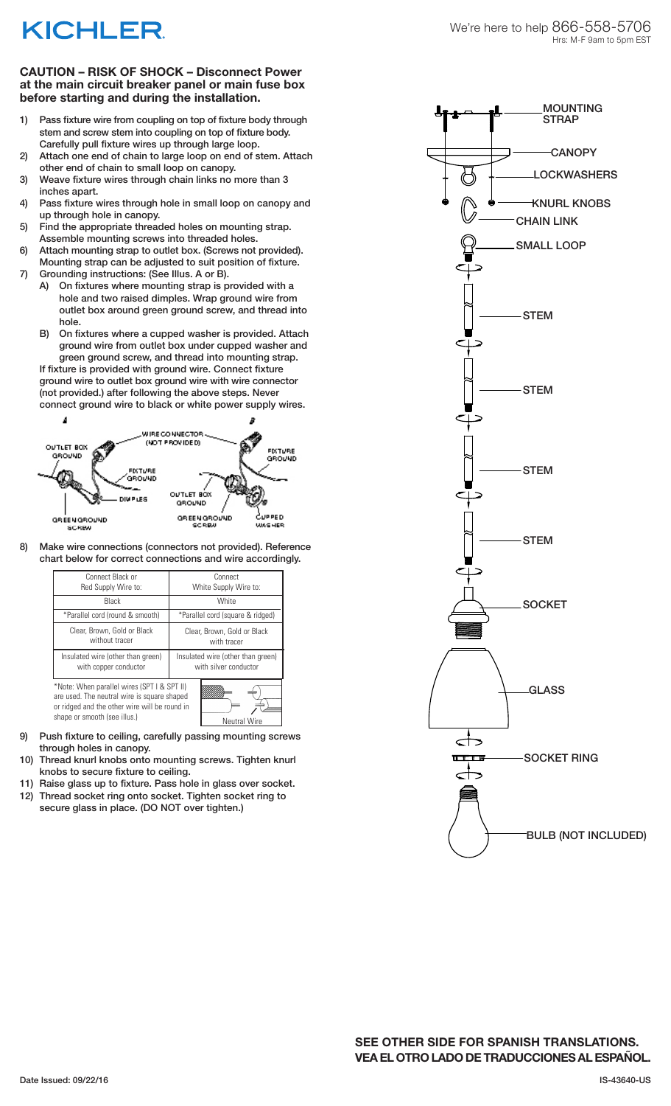## **KICHLER**

MOUNTING **STRAP** 

## **CAUTION – RISK OF SHOCK – Disconnect Power at the main circuit breaker panel or main fuse box before starting and during the installation.**

- 1) Pass fixture wire from coupling on top of fixture body through stem and screw stem into coupling on top of fixture body. Carefully pull fixture wires up through large loop.
- 2) Attach one end of chain to large loop on end of stem. Attach other end of chain to small loop on canopy.
- 3) Weave fixture wires through chain links no more than 3 inches apart.
- 4) Pass fixture wires through hole in small loop on canopy and up through hole in canopy.
- 5) Find the appropriate threaded holes on mounting strap. Assemble mounting screws into threaded holes.
- 6) Attach mounting strap to outlet box. (Screws not provided). Mounting strap can be adjusted to suit position of fixture.
- 7) Grounding instructions: (See Illus. A or B).
	- A) On fixtures where mounting strap is provided with a hole and two raised dimples. Wrap ground wire from outlet box around green ground screw, and thread into hole.
	- B) On fixtures where a cupped washer is provided. Attach ground wire from outlet box under cupped washer and green ground screw, and thread into mounting strap.

If fixture is provided with ground wire. Connect fixture ground wire to outlet box ground wire with wire connector (not provided.) after following the above steps. Never connect ground wire to black or white power supply wires.



8) Make wire connections (connectors not provided). Reference chart below for correct connections and wire accordingly.

| Connect Black or<br>Red Supply Wire to:                                                                                                                                                            | Connect<br>White Supply Wire to:                           |
|----------------------------------------------------------------------------------------------------------------------------------------------------------------------------------------------------|------------------------------------------------------------|
| Black                                                                                                                                                                                              | White                                                      |
| *Parallel cord (round & smooth)                                                                                                                                                                    | *Parallel cord (square & ridged)                           |
| Clear, Brown, Gold or Black<br>without tracer                                                                                                                                                      | Clear, Brown, Gold or Black<br>with tracer                 |
| Insulated wire (other than green)<br>with copper conductor                                                                                                                                         | Insulated wire (other than green)<br>with silver conductor |
| *Note: When parallel wires (SPT I & SPT II)<br>are used. The neutral wire is square shaped<br>or ridged and the other wire will be round in<br>shape or smooth (see illus.)<br><b>Neutral Wire</b> |                                                            |

- 9) Push fixture to ceiling, carefully passing mounting screws through holes in canopy.
- 10) Thread knurl knobs onto mounting screws. Tighten knurl knobs to secure fixture to ceiling.
- 11) Raise glass up to fixture. Pass hole in glass over socket.
- 12) Thread socket ring onto socket. Tighten socket ring to secure glass in place. (DO NOT over tighten.)



BULB (NOT INCLUDED)

**SEE OTHER SIDE FOR SPANISH TRANSLATIONS. VEA EL OTRO LADO DE TRADUCCIONES AL ESPAÑOL.**